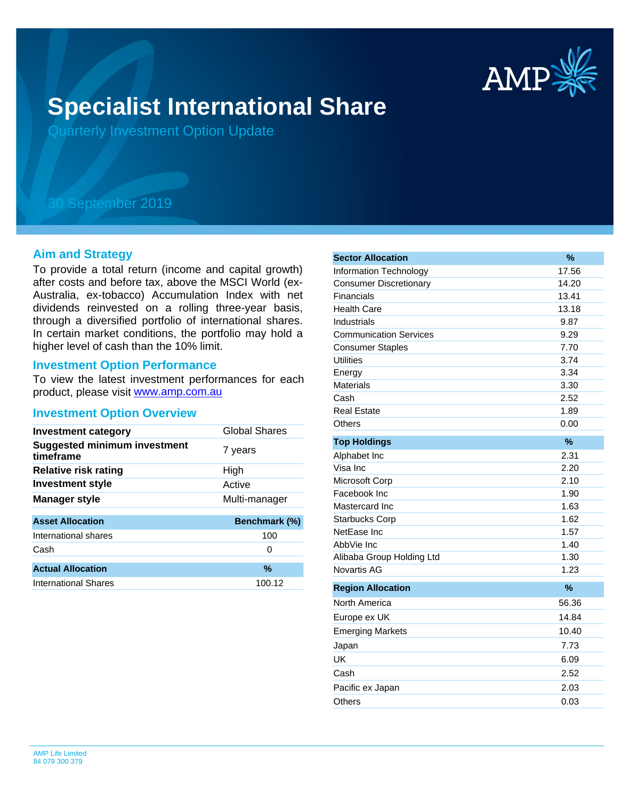

# **Specialist International Share**

Quarterly Investment Option Update

## 30 September 2019

#### **Aim and Strategy**

To provide a total return (income and capital growth) after costs and before tax, above the MSCI World (ex-Australia, ex-tobacco) Accumulation Index with net dividends reinvested on a rolling three-year basis, through a diversified portfolio of international shares. In certain market conditions, the portfolio may hold a higher level of cash than the 10% limit.

#### **Investment Option Performance**

product, please visit [www.amp.com.au](https://www.amp.com.au) To view the latest investment performances for each

#### **Investment Option Overview**

| <b>Investment category</b>                       | <b>Global Shares</b> |
|--------------------------------------------------|----------------------|
| <b>Suggested minimum investment</b><br>timeframe | 7 years              |
| <b>Relative risk rating</b>                      | High                 |
| <b>Investment style</b>                          | Active               |
| <b>Manager style</b>                             | Multi-manager        |
| <b>Asset Allocation</b>                          | Benchmark (%)        |
| International shares                             | 100                  |
| Cash                                             | 0                    |
| <b>Actual Allocation</b>                         | %                    |
| International Shares                             | 100.12               |

| <b>Sector Allocation</b>      | %             |
|-------------------------------|---------------|
| <b>Information Technology</b> | 17.56         |
| <b>Consumer Discretionary</b> | 14.20         |
| Financials                    | 13.41         |
| <b>Health Care</b>            | 13.18         |
| Industrials                   | 9.87          |
| <b>Communication Services</b> | 9.29          |
| <b>Consumer Staples</b>       | 7.70          |
| Utilities                     | 3.74          |
| Energy                        | 3.34          |
| Materials                     | 3.30          |
| Cash                          | 2.52          |
| <b>Real Estate</b>            | 1.89          |
| Others                        | 0.00          |
| <b>Top Holdings</b>           | %             |
| Alphabet Inc                  | 2.31          |
| Visa Inc                      | 2.20          |
| Microsoft Corp                | 2.10          |
| Facebook Inc                  | 1.90          |
| Mastercard Inc                | 1.63          |
| <b>Starbucks Corp</b>         | 1.62          |
| NetEase Inc                   | 1.57          |
| AbbVie Inc                    | 1.40          |
| Alibaba Group Holding Ltd     | 1.30          |
| <b>Novartis AG</b>            | 1.23          |
| <b>Region Allocation</b>      | $\frac{9}{6}$ |
| North America                 | 56.36         |
| Europe ex UK                  | 14.84         |
| <b>Emerging Markets</b>       | 10.40         |
| Japan                         | 7.73          |
| UK                            | 6.09          |
| Cash                          | 2.52          |
| Pacific ex Japan              | 2.03          |
| Others                        | 0.03          |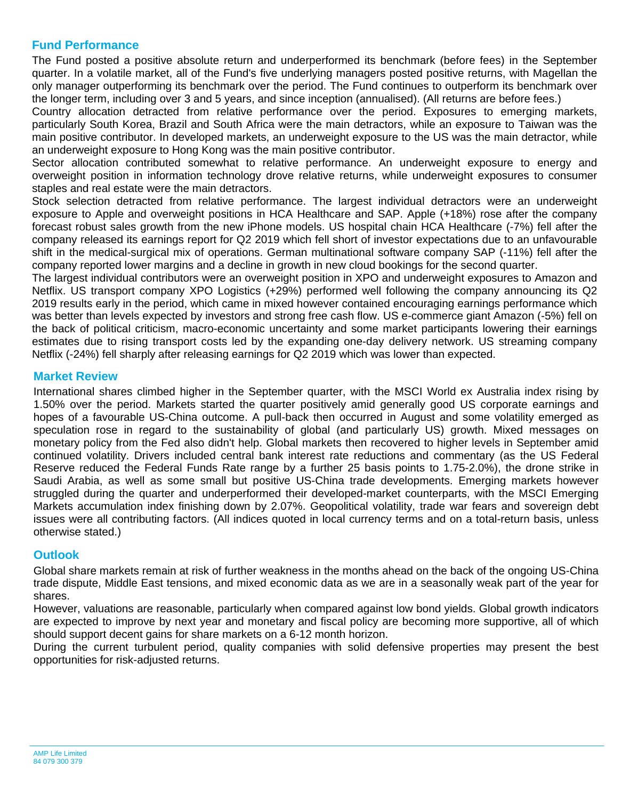### **Fund Performance**

The Fund posted a positive absolute return and underperformed its benchmark (before fees) in the September quarter. In a volatile market, all of the Fund's five underlying managers posted positive returns, with Magellan the only manager outperforming its benchmark over the period. The Fund continues to outperform its benchmark over the longer term, including over 3 and 5 years, and since inception (annualised). (All returns are before fees.)

Country allocation detracted from relative performance over the period. Exposures to emerging markets, particularly South Korea, Brazil and South Africa were the main detractors, while an exposure to Taiwan was the main positive contributor. In developed markets, an underweight exposure to the US was the main detractor, while an underweight exposure to Hong Kong was the main positive contributor.

Sector allocation contributed somewhat to relative performance. An underweight exposure to energy and overweight position in information technology drove relative returns, while underweight exposures to consumer staples and real estate were the main detractors.

Stock selection detracted from relative performance. The largest individual detractors were an underweight exposure to Apple and overweight positions in HCA Healthcare and SAP. Apple (+18%) rose after the company forecast robust sales growth from the new iPhone models. US hospital chain HCA Healthcare (-7%) fell after the company released its earnings report for Q2 2019 which fell short of investor expectations due to an unfavourable shift in the medical-surgical mix of operations. German multinational software company SAP (-11%) fell after the company reported lower margins and a decline in growth in new cloud bookings for the second quarter.

The largest individual contributors were an overweight position in XPO and underweight exposures to Amazon and Netflix. US transport company XPO Logistics (+29%) performed well following the company announcing its Q2 2019 results early in the period, which came in mixed however contained encouraging earnings performance which was better than levels expected by investors and strong free cash flow. US e-commerce giant Amazon (-5%) fell on the back of political criticism, macro-economic uncertainty and some market participants lowering their earnings estimates due to rising transport costs led by the expanding one-day delivery network. US streaming company Netflix (-24%) fell sharply after releasing earnings for Q2 2019 which was lower than expected.

#### **Market Review**

International shares climbed higher in the September quarter, with the MSCI World ex Australia index rising by 1.50% over the period. Markets started the quarter positively amid generally good US corporate earnings and hopes of a favourable US-China outcome. A pull-back then occurred in August and some volatility emerged as speculation rose in regard to the sustainability of global (and particularly US) growth. Mixed messages on monetary policy from the Fed also didn't help. Global markets then recovered to higher levels in September amid continued volatility. Drivers included central bank interest rate reductions and commentary (as the US Federal Reserve reduced the Federal Funds Rate range by a further 25 basis points to 1.75-2.0%), the drone strike in Saudi Arabia, as well as some small but positive US-China trade developments. Emerging markets however struggled during the quarter and underperformed their developed-market counterparts, with the MSCI Emerging Markets accumulation index finishing down by 2.07%. Geopolitical volatility, trade war fears and sovereign debt issues were all contributing factors. (All indices quoted in local currency terms and on a total-return basis, unless otherwise stated.)

#### **Outlook**

Global share markets remain at risk of further weakness in the months ahead on the back of the ongoing US-China trade dispute, Middle East tensions, and mixed economic data as we are in a seasonally weak part of the year for shares.

However, valuations are reasonable, particularly when compared against low bond yields. Global growth indicators are expected to improve by next year and monetary and fiscal policy are becoming more supportive, all of which should support decent gains for share markets on a 6-12 month horizon.

During the current turbulent period, quality companies with solid defensive properties may present the best opportunities for risk-adjusted returns.